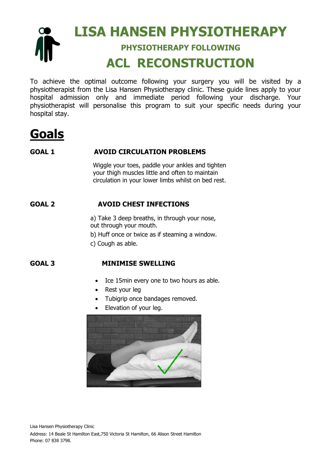#### **LISA HANSEN PHYSIOTHERAPY** œ **PHYSIOTHERAPY FOLLOWING ACL RECONSTRUCTION**

To achieve the optimal outcome following your surgery you will be visited by a physiotherapist from the Lisa Hansen Physiotherapy clinic. These guide lines apply to your hospital admission only and immediate period following your discharge. Your physiotherapist will personalise this program to suit your specific needs during your hospital stay.

# **Goals**

#### **GOAL 1 AVOID CIRCULATION PROBLEMS**

Wiggle your toes, paddle your ankles and tighten your thigh muscles little and often to maintain circulation in your lower limbs whilst on bed rest.

#### **GOAL 2 AVOID CHEST INFECTIONS**

a) Take 3 deep breaths, in through your nose, out through your mouth.

b) Huff once or twice as if steaming a window.

c) Cough as able.

#### **GOAL 3 MINIMISE SWELLING**

- Ice 15min every one to two hours as able.
- Rest your leg
- Tubigrip once bandages removed.
- Elevation of your leg.

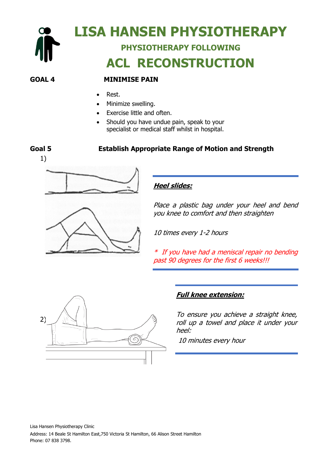

#### **GOAL 4 MINIMISE PAIN**

- Rest.
- Minimize swelling.
- Exercise little and often.
- Should you have undue pain, speak to your specialist or medical staff whilst in hospital.

#### **Goal 5 Establish Appropriate Range of Motion and Strength**





#### **Heel slides:**

Place a plastic bag under your heel and bend you knee to comfort and then straighten

10 times every 1-2 hours

\* If you have had a meniscal repair no bending past 90 degrees for the first 6 weeks!!!



#### **Full knee extension:**

To ensure you achieve a straight knee, roll up a towel and place it under your heel:

10 minutes every hour

Lisa Hansen Physiotherapy Clinic Address: 14 Beale St Hamilton East,750 Victoria St Hamilton, 66 Alison Street Hamilton Phone: 07 838 3798.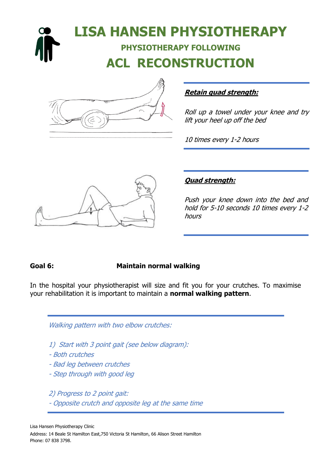# **LISA HANSEN PHYSIOTHERAPY PHYSIOTHERAPY FOLLOWING ACL RECONSTRUCTION**



#### **Retain quad strength:**

Roll up a towel under your knee and try lift your heel up off the bed

10 times every 1-2 hours



#### **Quad strength:**

Push your knee down into the bed and hold for 5-10 seconds 10 times every 1-2 hours

#### **Goal 6: Maintain normal walking**

In the hospital your physiotherapist will size and fit you for your crutches. To maximise your rehabilitation it is important to maintain a **normal walking pattern**.

#### Walking pattern with two elbow crutches:

- 1) Start with 3 point gait (see below diagram):
- Both crutches
- Bad leg between crutches
- Step through with good leg

2) Progress to 2 point gait:

- Opposite crutch and opposite leg at the same time

Lisa Hansen Physiotherapy Clinic Address: 14 Beale St Hamilton East,750 Victoria St Hamilton, 66 Alison Street Hamilton Phone: 07 838 3798.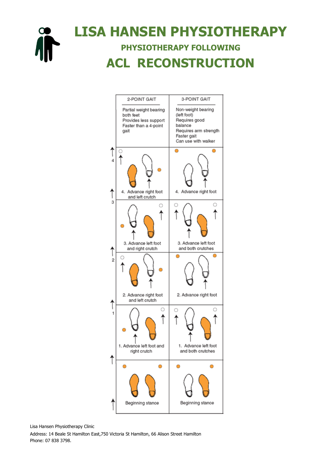

### **LISA HANSEN PHYSIOTHERAPY PHYSIOTHERAPY FOLLOWING ACL RECONSTRUCTION**



Lisa Hansen Physiotherapy Clinic

Address: 14 Beale St Hamilton East,750 Victoria St Hamilton, 66 Alison Street Hamilton Phone: 07 838 3798.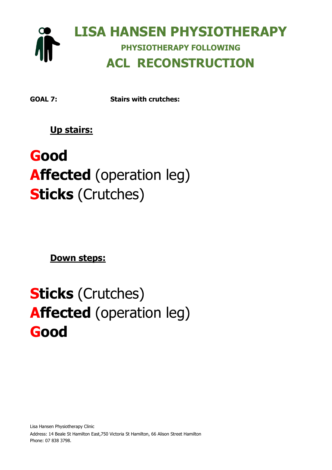

**GOAL 7: Stairs with crutches:** 

**Up stairs:** 

# **Good Affected** (operation leg) **Sticks** (Crutches)

**Down steps:**

# **Sticks** (Crutches) **Affected** (operation leg) **Good**

Lisa Hansen Physiotherapy Clinic Address: 14 Beale St Hamilton East,750 Victoria St Hamilton, 66 Alison Street Hamilton Phone: 07 838 3798.